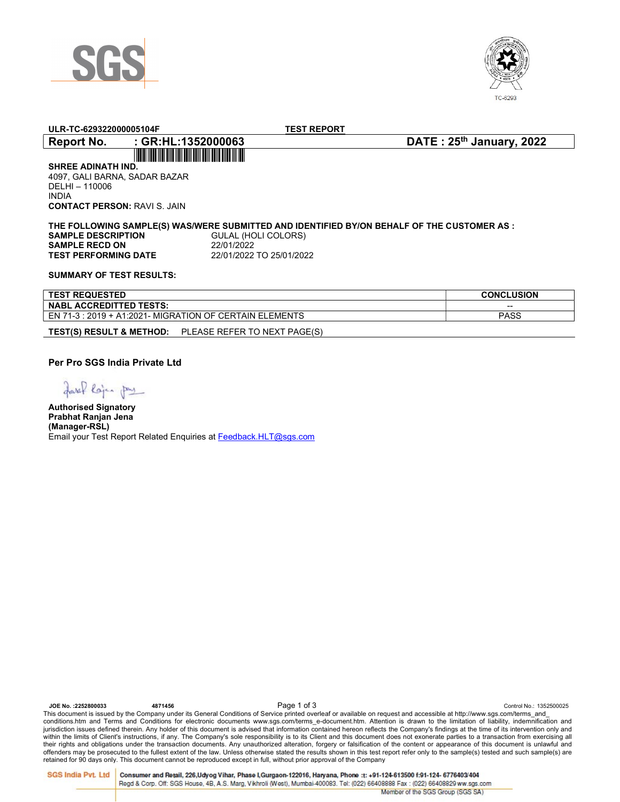



| ULR-TC-629322000005104F                                                                                              | <b>TEST REPORT</b>                                                                                                                                           |                          |  |  |  |  |
|----------------------------------------------------------------------------------------------------------------------|--------------------------------------------------------------------------------------------------------------------------------------------------------------|--------------------------|--|--|--|--|
| : GR:HL:1352000063<br><b>Report No.</b>                                                                              |                                                                                                                                                              | DATE: 25th January, 2022 |  |  |  |  |
|                                                                                                                      |                                                                                                                                                              |                          |  |  |  |  |
| <b>SHREE ADINATH IND.</b>                                                                                            |                                                                                                                                                              |                          |  |  |  |  |
| 4097. GALI BARNA, SADAR BAZAR                                                                                        |                                                                                                                                                              |                          |  |  |  |  |
| DELHI - 110006                                                                                                       |                                                                                                                                                              |                          |  |  |  |  |
| <b>INDIA</b>                                                                                                         |                                                                                                                                                              |                          |  |  |  |  |
| <b>CONTACT PERSON: RAVI S. JAIN</b>                                                                                  |                                                                                                                                                              |                          |  |  |  |  |
| <b>SAMPLE DESCRIPTION</b><br><b>SAMPLE RECD ON</b><br><b>TEST PERFORMING DATE</b><br><b>SUMMARY OF TEST RESULTS:</b> | THE FOLLOWING SAMPLE(S) WAS/WERE SUBMITTED AND IDENTIFIED BY/ON BEHALF OF THE CUSTOMER AS :<br>GULAL (HOLI COLORS)<br>22/01/2022<br>22/01/2022 TO 25/01/2022 |                          |  |  |  |  |
| <b>TEST REQUESTED</b>                                                                                                |                                                                                                                                                              | <b>CONCLUSION</b>        |  |  |  |  |

| <b>TEST REQUESTED</b>                                          | <b>CONCLUSION</b> |
|----------------------------------------------------------------|-------------------|
| <b>NABL ACCREDITTED TESTS:</b>                                 | $-$               |
| EN 71-3 : 2019 + A1:2021- MIGRATION OF CERTAIN ELEMENTS        | <b>PASS</b>       |
| $F = 0.5$ $(0.5, 0.5)$ $(0.5, 0.5)$ $(0.5, 0.5)$<br>$D \cap L$ |                   |

TEST(S) RESULT & METHOD: PLEASE REFER TO NEXT PAGE(S)

Per Pro SGS India Private Ltd

faxil lojes pre

Authorised Signatory Prabhat Ranjan Jena (Manager-RSL) Email your Test Report Related Enquiries at Feedback.HLT@sgs.com

JOE No. :2252800033 2001/00: 1352500025<br>This document is issued by the Company under its General Conditions of Service printed overleaf or available on request and accessible at http://www.sgs.com/terms\_and\_ conditions.htm and Terms and Conditions for electronic documents www.sgs.com/terms\_e-document.htm. Attention is drawn to the limitation of liability, indemnification and jurisdiction issues defined therein. Any holder of this document is advised that information contained hereon reflects the Company's findings at the time of its intervention only and within the limits of Client's instructions, if any. The Company's sole responsibility is to its Client and this document does not exonerate parties to a transaction from exercising all<br>their rights and obligations under th retained for 90 days only. This document cannot be reproduced except in full, without prior approval of the Company

SGS India Pvt. Ltd Consumer and Retail, 226, Udyog Vihar, Phase I, Gurgaon-122016, Haryana, Phone :t: +91-124-613500 f:91-124- 6776403/404 Regd & Corp. Off: SGS House, 4B, A.S. Marg, Vikhroli (West), Mumbai-400083. Tel: (022) 66408888 Fax: (022) 66408829 ww.sgs.com Member of the SGS Group (SGS SA)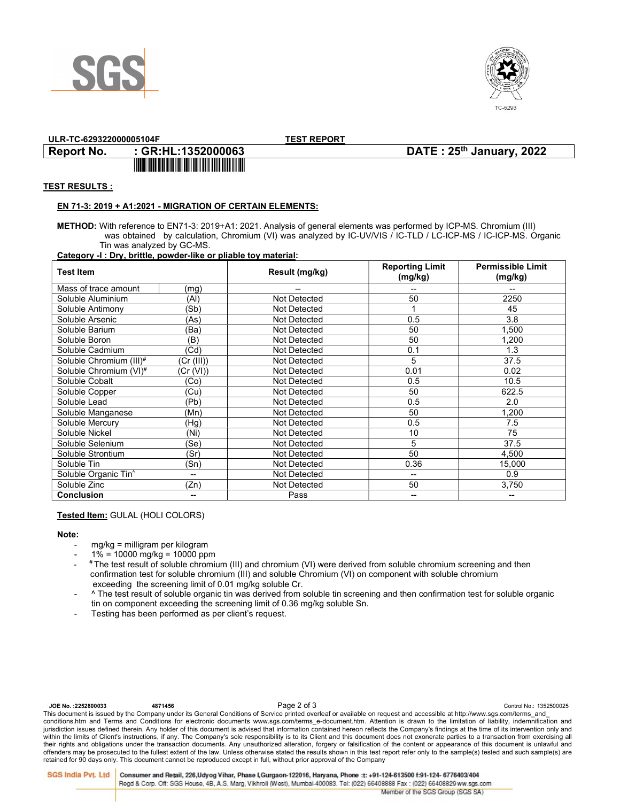



## ULR-TC-629322000005104F TEST REPORT

## Report No. : GR:HL:1352000063 DATE : 25th January, 2022

### TEST RESULTS :

### EN 71-3: 2019 + A1:2021 - MIGRATION OF CERTAIN ELEMENTS:

<u> 11 Martin - Amerikaan Amerikaan kalendari (</u>

METHOD: With reference to EN71-3: 2019+A1: 2021. Analysis of general elements was performed by ICP-MS. Chromium (III) was obtained by calculation, Chromium (VI) was analyzed by IC-UV/VIS / IC-TLD / LC-ICP-MS / IC-ICP-MS. Organic Tin was analyzed by GC-MS.

#### Category -I : Dry, brittle, powder-like or pliable toy material:

| Test Item                        |            | Result (mg/kg)      | <b>Reporting Limit</b><br>(mg/kg) | <b>Permissible Limit</b><br>(mg/kg) |
|----------------------------------|------------|---------------------|-----------------------------------|-------------------------------------|
| Mass of trace amount             | (mg)       | --                  | --                                |                                     |
| Soluble Aluminium                | (AI)       | Not Detected        | 50                                | 2250                                |
| Soluble Antimony                 | 'Sb)       | Not Detected        |                                   | 45                                  |
| Soluble Arsenic                  | (As)       | Not Detected        | 0.5                               | 3.8                                 |
| Soluble Barium                   | (Ba)       | Not Detected        | 50                                | 1,500                               |
| Soluble Boron                    | (B)        | Not Detected        | 50                                | 1,200                               |
| Soluble Cadmium                  | (Cd)       | Not Detected        | 0.1                               | 1.3                                 |
| Soluble Chromium (III)#          | (Cr (III)) | Not Detected        | 5                                 | 37.5                                |
| Soluble Chromium (VI)#           | Cr (VI))   | Not Detected        | 0.01                              | 0.02                                |
| Soluble Cobalt                   | 'Co)       | Not Detected        | 0.5                               | 10.5                                |
| Soluble Copper                   | (Cu)       | Not Detected        | 50                                | 622.5                               |
| Soluble Lead                     | (Pb)       | Not Detected        | 0.5                               | 2.0                                 |
| Soluble Manganese                | (Mn)       | Not Detected        | 50                                | 1,200                               |
| Soluble Mercury                  | (Hg)       | Not Detected        | 0.5                               | 7.5                                 |
| Soluble Nickel                   | (Ni)       | Not Detected        | 10                                | 75                                  |
| Soluble Selenium                 | (Se)       | Not Detected        | 5                                 | 37.5                                |
| Soluble Strontium                | (Sr)       | <b>Not Detected</b> | 50                                | 4,500                               |
| Soluble Tin                      | (Sn)       | Not Detected        | 0.36                              | 15,000                              |
| Soluble Organic Tin <sup>^</sup> | --         | Not Detected        | --                                | 0.9                                 |
| Soluble Zinc                     | (Zn)       | Not Detected        | 50                                | 3,750                               |
| <b>Conclusion</b>                | --         | Pass                | --                                |                                     |

#### Tested Item: GULAL (HOLI COLORS)

#### Note:

- mg/kg = milligram per kilogram
- $1\% = 10000$  mg/kg = 10000 ppm
- # The test result of soluble chromium (III) and chromium (VI) were derived from soluble chromium screening and then confirmation test for soluble chromium (III) and soluble Chromium (VI) on component with soluble chromium exceeding the screening limit of 0.01 mg/kg soluble Cr.
	- ^ The test result of soluble organic tin was derived from soluble tin screening and then confirmation test for soluble organic tin on component exceeding the screening limit of 0.36 mg/kg soluble Sn.
	- Testing has been performed as per client's request.

JOE No. :2252800033 20thtl 4871456 4871456<br>This document is issued by the Company under its General Conditions of Service printed overleaf or available on request and accessible at http://www.sgs.com/terms\_and\_ conditions.htm and Terms and Conditions for electronic documents www.sgs.com/terms\_e-document.htm. Attention is drawn to the limitation of liability, indemnification and jurisdiction issues defined therein. Any holder of this document is advised that information contained hereon reflects the Company's findings at the time of its intervention only and within the limits of Client's instructions, if any. The Company's sole responsibility is to its Client and this document does not exonerate parties to a transaction from exercising all their rights and obligations under the transaction documents. Any unauthorized alteration, forgery or falsification of the content or appearance of this document is unlawful and offenders may be prosecuted to the fullest extent of the law. Unless otherwise stated the results shown in this test report refer only to the sample(s) tested and such sample(s) are retained for 90 days only. This document cannot be reproduced except in full, without prior approval of the Company